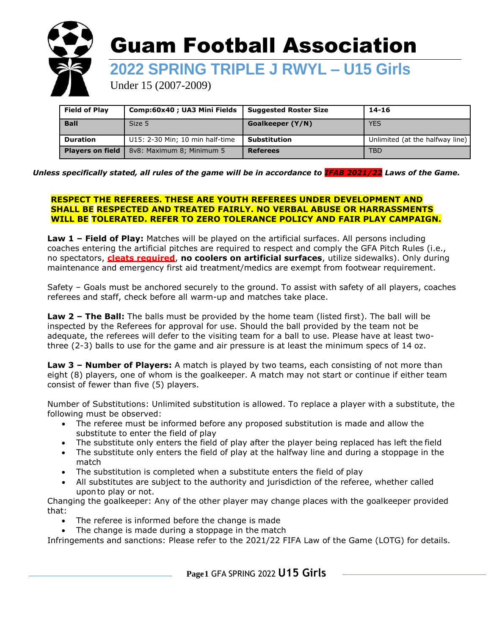

| <b>Field of Play</b>    | Comp:60x40 ; UA3 Mini Fields    | <b>Suggested Roster Size</b> | $14 - 16$                       |
|-------------------------|---------------------------------|------------------------------|---------------------------------|
| <b>Ball</b>             | Size 5                          | Goalkeeper (Y/N)             | <b>YES</b>                      |
| <b>Duration</b>         | U15: 2-30 Min; 10 min half-time | <b>Substitution</b>          | Unlimited (at the halfway line) |
| <b>Players on field</b> | 8v8: Maximum 8; Minimum 5       | <b>Referees</b>              | <b>TBD</b>                      |

#### *Unless specifically stated, all rules of the game will be in accordance to IFAB 2021/22 Laws of the Game.*

#### **RESPECT THE REFEREES. THESE ARE YOUTH REFEREES UNDER DEVELOPMENT AND SHALL BE RESPECTED AND TREATED FAIRLY. NO VERBAL ABUSE OR HARRASSMENTS WILL BE TOLERATED. REFER TO ZERO TOLERANCE POLICY AND FAIR PLAY CAMPAIGN.**

**Law 1 – Field of Play:** Matches will be played on the artificial surfaces. All persons including coaches entering the artificial pitches are required to respect and comply the GFA Pitch Rules (i.e., no spectators, **cleats required**, **no coolers on artificial surfaces**, utilize sidewalks). Only during maintenance and emergency first aid treatment/medics are exempt from footwear requirement.

Safety – Goals must be anchored securely to the ground. To assist with safety of all players, coaches referees and staff, check before all warm-up and matches take place.

**Law 2 – The Ball:** The balls must be provided by the home team (listed first). The ball will be inspected by the Referees for approval for use. Should the ball provided by the team not be adequate, the referees will defer to the visiting team for a ball to use. Please have at least twothree (2-3) balls to use for the game and air pressure is at least the minimum specs of 14 oz.

**Law 3 – Number of Players:** A match is played by two teams, each consisting of not more than eight (8) players, one of whom is the goalkeeper. A match may not start or continue if either team consist of fewer than five (5) players.

Number of Substitutions: Unlimited substitution is allowed. To replace a player with a substitute, the following must be observed:

- The referee must be informed before any proposed substitution is made and allow the substitute to enter the field of play
- The substitute only enters the field of play after the player being replaced has left the field
- The substitute only enters the field of play at the halfway line and during a stoppage in the match
- The substitution is completed when a substitute enters the field of play
- All substitutes are subject to the authority and jurisdiction of the referee, whether called uponto play or not.

Changing the goalkeeper: Any of the other player may change places with the goalkeeper provided that:

- The referee is informed before the change is made
- The change is made during a stoppage in the match

Infringements and sanctions: Please refer to the 2021/22 FIFA Law of the Game (LOTG) for details.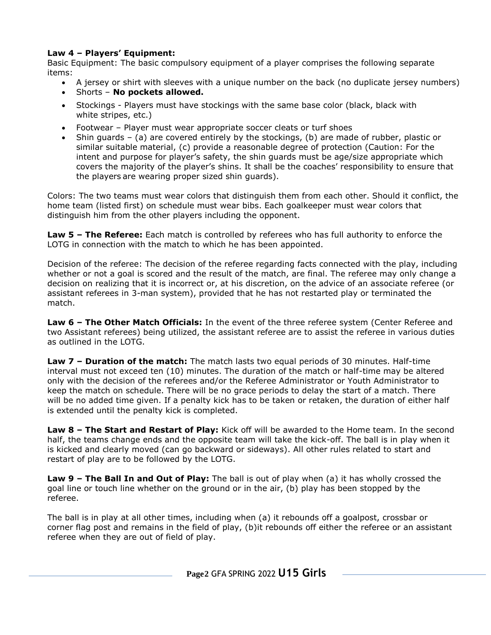### **Law 4 – Players' Equipment:**

Basic Equipment: The basic compulsory equipment of a player comprises the following separate items:

- A jersey or shirt with sleeves with a unique number on the back (no duplicate jersey numbers)
- Shorts **No pockets allowed.**
- Stockings Players must have stockings with the same base color (black, black with white stripes, etc.)
- Footwear Player must wear appropriate soccer cleats or turf shoes
- Shin guards (a) are covered entirely by the stockings, (b) are made of rubber, plastic or similar suitable material, (c) provide a reasonable degree of protection (Caution: For the intent and purpose for player's safety, the shin guards must be age/size appropriate which covers the majority of the player's shins. It shall be the coaches' responsibility to ensure that the players are wearing proper sized shin guards).

Colors: The two teams must wear colors that distinguish them from each other. Should it conflict, the home team (listed first) on schedule must wear bibs. Each goalkeeper must wear colors that distinguish him from the other players including the opponent.

**Law 5 – The Referee:** Each match is controlled by referees who has full authority to enforce the LOTG in connection with the match to which he has been appointed.

Decision of the referee: The decision of the referee regarding facts connected with the play, including whether or not a goal is scored and the result of the match, are final. The referee may only change a decision on realizing that it is incorrect or, at his discretion, on the advice of an associate referee (or assistant referees in 3-man system), provided that he has not restarted play or terminated the match.

**Law 6 – The Other Match Officials:** In the event of the three referee system (Center Referee and two Assistant referees) being utilized, the assistant referee are to assist the referee in various duties as outlined in the LOTG.

**Law 7 – Duration of the match:** The match lasts two equal periods of 30 minutes. Half-time interval must not exceed ten (10) minutes. The duration of the match or half-time may be altered only with the decision of the referees and/or the Referee Administrator or Youth Administrator to keep the match on schedule. There will be no grace periods to delay the start of a match. There will be no added time given. If a penalty kick has to be taken or retaken, the duration of either half is extended until the penalty kick is completed.

**Law 8 – The Start and Restart of Play:** Kick off will be awarded to the Home team. In the second half, the teams change ends and the opposite team will take the kick-off. The ball is in play when it is kicked and clearly moved (can go backward or sideways). All other rules related to start and restart of play are to be followed by the LOTG.

**Law 9 – The Ball In and Out of Play:** The ball is out of play when (a) it has wholly crossed the goal line or touch line whether on the ground or in the air, (b) play has been stopped by the referee.

The ball is in play at all other times, including when (a) it rebounds off a goalpost, crossbar or corner flag post and remains in the field of play, (b)it rebounds off either the referee or an assistant referee when they are out of field of play.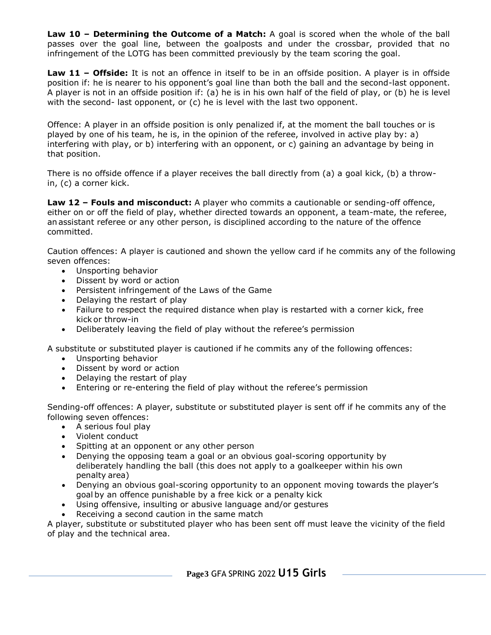**Law 10 – Determining the Outcome of a Match:** A goal is scored when the whole of the ball passes over the goal line, between the goalposts and under the crossbar, provided that no infringement of the LOTG has been committed previously by the team scoring the goal.

**Law 11 – Offside:** It is not an offence in itself to be in an offside position. A player is in offside position if: he is nearer to his opponent's goal line than both the ball and the second-last opponent. A player is not in an offside position if: (a) he is in his own half of the field of play, or (b) he is level with the second- last opponent, or (c) he is level with the last two opponent.

Offence: A player in an offside position is only penalized if, at the moment the ball touches or is played by one of his team, he is, in the opinion of the referee, involved in active play by: a) interfering with play, or b) interfering with an opponent, or c) gaining an advantage by being in that position.

There is no offside offence if a player receives the ball directly from (a) a goal kick, (b) a throwin, (c) a corner kick.

**Law 12 – Fouls and misconduct:** A player who commits a cautionable or sending-off offence, either on or off the field of play, whether directed towards an opponent, a team-mate, the referee, anassistant referee or any other person, is disciplined according to the nature of the offence committed.

Caution offences: A player is cautioned and shown the yellow card if he commits any of the following seven offences:

- Unsporting behavior
- Dissent by word or action
- Persistent infringement of the Laws of the Game
- Delaying the restart of play
- Failure to respect the required distance when play is restarted with a corner kick, free kick or throw-in
- Deliberately leaving the field of play without the referee's permission

A substitute or substituted player is cautioned if he commits any of the following offences:

- Unsporting behavior
- Dissent by word or action
- Delaying the restart of play
- Entering or re-entering the field of play without the referee's permission

Sending-off offences: A player, substitute or substituted player is sent off if he commits any of the following seven offences:

- A serious foul play
- Violent conduct
- Spitting at an opponent or any other person
- Denying the opposing team a goal or an obvious goal-scoring opportunity by deliberately handling the ball (this does not apply to a goalkeeper within his own penalty area)
- Denying an obvious goal-scoring opportunity to an opponent moving towards the player's goal by an offence punishable by a free kick or a penalty kick
- Using offensive, insulting or abusive language and/or gestures
- Receiving a second caution in the same match

A player, substitute or substituted player who has been sent off must leave the vicinity of the field of play and the technical area.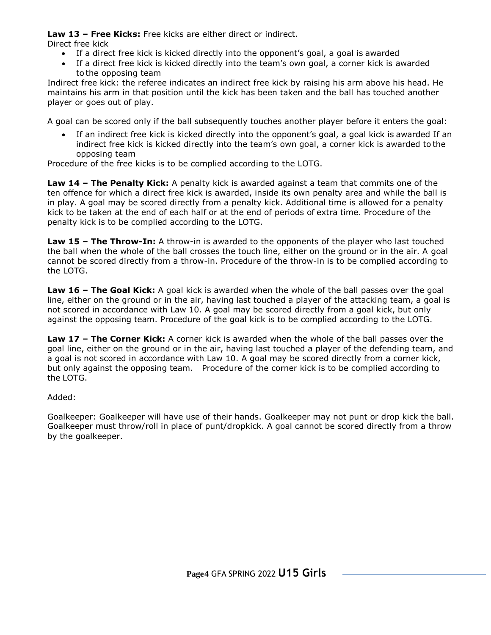**Law 13 – Free Kicks:** Free kicks are either direct or indirect.

Direct free kick

- If a direct free kick is kicked directly into the opponent's goal, a goal is awarded
- If a direct free kick is kicked directly into the team's own goal, a corner kick is awarded to the opposing team

Indirect free kick: the referee indicates an indirect free kick by raising his arm above his head. He maintains his arm in that position until the kick has been taken and the ball has touched another player or goes out of play.

A goal can be scored only if the ball subsequently touches another player before it enters the goal:

 If an indirect free kick is kicked directly into the opponent's goal, a goal kick is awarded If an indirect free kick is kicked directly into the team's own goal, a corner kick is awarded to the opposing team

Procedure of the free kicks is to be complied according to the LOTG.

**Law 14 – The Penalty Kick:** A penalty kick is awarded against a team that commits one of the ten offence for which a direct free kick is awarded, inside its own penalty area and while the ball is in play. A goal may be scored directly from a penalty kick. Additional time is allowed for a penalty kick to be taken at the end of each half or at the end of periods of extra time. Procedure of the penalty kick is to be complied according to the LOTG.

**Law 15 – The Throw-In:** A throw-in is awarded to the opponents of the player who last touched the ball when the whole of the ball crosses the touch line, either on the ground or in the air. A goal cannot be scored directly from a throw-in. Procedure of the throw-in is to be complied according to the LOTG.

**Law 16 – The Goal Kick:** A goal kick is awarded when the whole of the ball passes over the goal line, either on the ground or in the air, having last touched a player of the attacking team, a goal is not scored in accordance with Law 10. A goal may be scored directly from a goal kick, but only against the opposing team. Procedure of the goal kick is to be complied according to the LOTG.

**Law 17 – The Corner Kick:** A corner kick is awarded when the whole of the ball passes over the goal line, either on the ground or in the air, having last touched a player of the defending team, and a goal is not scored in accordance with Law 10. A goal may be scored directly from a corner kick, but only against the opposing team. Procedure of the corner kick is to be complied according to the LOTG.

Added:

Goalkeeper: Goalkeeper will have use of their hands. Goalkeeper may not punt or drop kick the ball. Goalkeeper must throw/roll in place of punt/dropkick. A goal cannot be scored directly from a throw by the goalkeeper.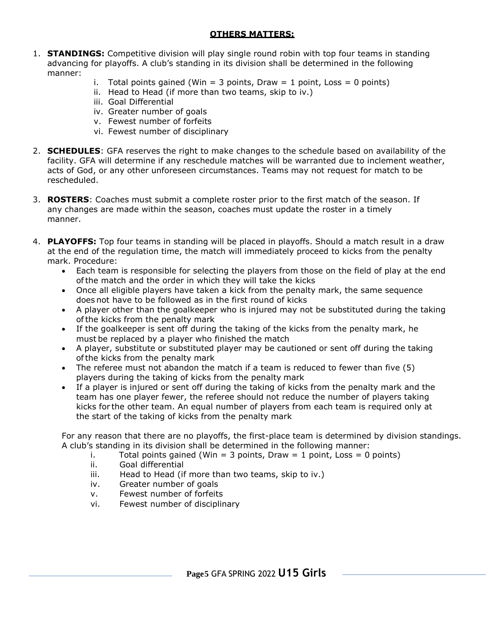## **OTHERS MATTERS:**

- 1. **STANDINGS:** Competitive division will play single round robin with top four teams in standing advancing for playoffs. A club's standing in its division shall be determined in the following manner:
	- i. Total points gained (Win = 3 points, Draw = 1 point, Loss = 0 points)
	- ii. Head to Head (if more than two teams, skip to iv.)
	- iii. Goal Differential
	- iv. Greater number of goals
	- v. Fewest number of forfeits
	- vi. Fewest number of disciplinary
- 2. **SCHEDULES**: GFA reserves the right to make changes to the schedule based on availability of the facility. GFA will determine if any reschedule matches will be warranted due to inclement weather, acts of God, or any other unforeseen circumstances. Teams may not request for match to be rescheduled.
- 3. **ROSTERS**: Coaches must submit a complete roster prior to the first match of the season. If any changes are made within the season, coaches must update the roster in a timely manner.
- 4. **PLAYOFFS:** Top four teams in standing will be placed in playoffs. Should a match result in a draw at the end of the regulation time, the match will immediately proceed to kicks from the penalty mark. Procedure:
	- Each team is responsible for selecting the players from those on the field of play at the end ofthe match and the order in which they will take the kicks
	- Once all eligible players have taken a kick from the penalty mark, the same sequence does not have to be followed as in the first round of kicks
	- A player other than the goalkeeper who is injured may not be substituted during the taking ofthe kicks from the penalty mark
	- If the goalkeeper is sent off during the taking of the kicks from the penalty mark, he must be replaced by a player who finished the match
	- A player, substitute or substituted player may be cautioned or sent off during the taking ofthe kicks from the penalty mark
	- The referee must not abandon the match if a team is reduced to fewer than five (5) players during the taking of kicks from the penalty mark
	- If a player is injured or sent off during the taking of kicks from the penalty mark and the team has one player fewer, the referee should not reduce the number of players taking kicks for the other team. An equal number of players from each team is required only at the start of the taking of kicks from the penalty mark

For any reason that there are no playoffs, the first-place team is determined by division standings. A club's standing in its division shall be determined in the following manner:

- i. Total points gained (Win = 3 points, Draw = 1 point, Loss = 0 points)
- ii. Goal differential
- iii. Head to Head (if more than two teams, skip to iv.)
- iv. Greater number of goals
- v. Fewest number of forfeits
- vi. Fewest number of disciplinary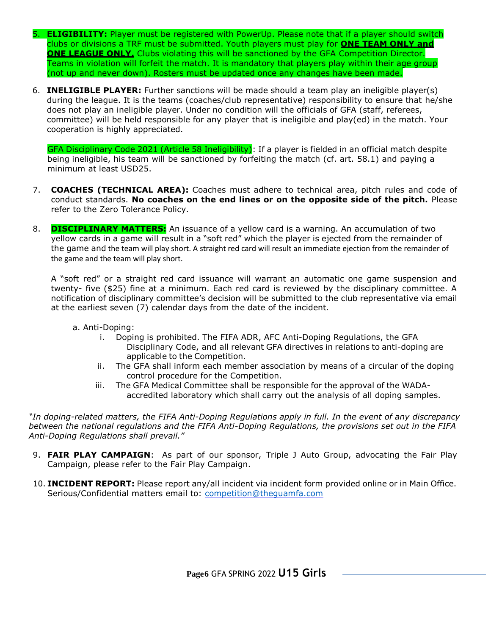- 5. **ELIGIBILITY:** Player must be registered with PowerUp. Please note that if a player should switch clubs or divisions a TRF must be submitted. Youth players must play for **ONE TEAM ONLY and ONE LEAGUE ONLY.** Clubs violating this will be sanctioned by the GFA Competition Director. Teams in violation will forfeit the match. It is mandatory that players play within their age group (not up and never down). Rosters must be updated once any changes have been made.
- 6. **INELIGIBLE PLAYER:** Further sanctions will be made should a team play an ineligible player(s) during the league. It is the teams (coaches/club representative) responsibility to ensure that he/she does not play an ineligible player. Under no condition will the officials of GFA (staff, referees, committee) will be held responsible for any player that is ineligible and play(ed) in the match. Your cooperation is highly appreciated.

GFA Disciplinary Code 2021 (Article 58 Ineligibility): If a player is fielded in an official match despite being ineligible, his team will be sanctioned by forfeiting the match (cf. art. 58.1) and paying a minimum at least USD25.

- 7. **COACHES (TECHNICAL AREA):** Coaches must adhere to technical area, pitch rules and code of conduct standards. **No coaches on the end lines or on the opposite side of the pitch.** Please refer to the Zero Tolerance Policy.
- 8. **DISCIPLINARY MATTERS:** An issuance of a yellow card is a warning. An accumulation of two yellow cards in a game will result in a "soft red" which the player is ejected from the remainder of the game and the team will play short. A straight red card will result an immediate ejection from the remainder of the game and the team will play short.

A "soft red" or a straight red card issuance will warrant an automatic one game suspension and twenty- five (\$25) fine at a minimum. Each red card is reviewed by the disciplinary committee. A notification of disciplinary committee's decision will be submitted to the club representative via email at the earliest seven (7) calendar days from the date of the incident.

- a. Anti-Doping:
	- i. Doping is prohibited. The FIFA ADR, AFC Anti-Doping Regulations, the GFA Disciplinary Code, and all relevant GFA directives in relations to anti-doping are applicable to the Competition.
	- ii. The GFA shall inform each member association by means of a circular of the doping control procedure for the Competition.
	- iii. The GFA Medical Committee shall be responsible for the approval of the WADAaccredited laboratory which shall carry out the analysis of all doping samples.

*"In doping-related matters, the FIFA Anti-Doping Regulations apply in full. In the event of any discrepancy between the national regulations and the FIFA Anti-Doping Regulations, the provisions set out in the FIFA Anti-Doping Regulations shall prevail."*

- 9. **FAIR PLAY CAMPAIGN**: As part of our sponsor, Triple J Auto Group, advocating the Fair Play Campaign, please refer to the Fair Play Campaign.
- 10. **INCIDENT REPORT:** Please report any/all incident via incident form provided online or in Main Office. Serious/Confidential matters email to: [competition@theguamfa.com](mailto:competition@theguamfa.com)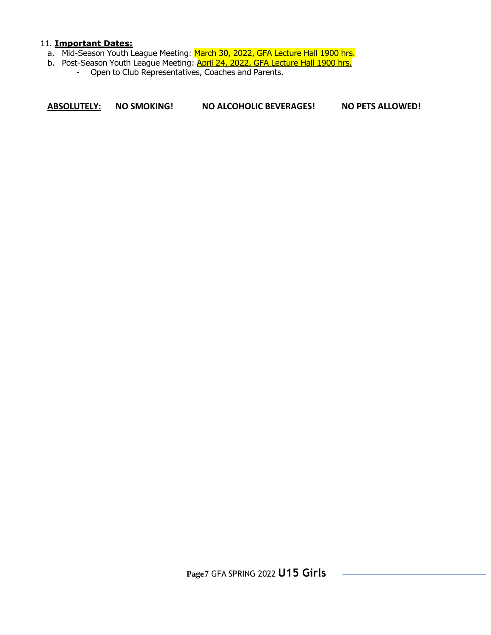## 11. **Important Dates:**

- a. Mid-Season Youth League Meeting: March 30, 2022, GFA Lecture Hall 1900 hrs.
- b. Post-Season Youth League Meeting: April 24, 2022, GFA Lecture Hall 1900 hrs.
	- Open to Club Representatives, Coaches and Parents.

**ABSOLUTELY: NO SMOKING! NO ALCOHOLIC BEVERAGES! NO PETS ALLOWED!**